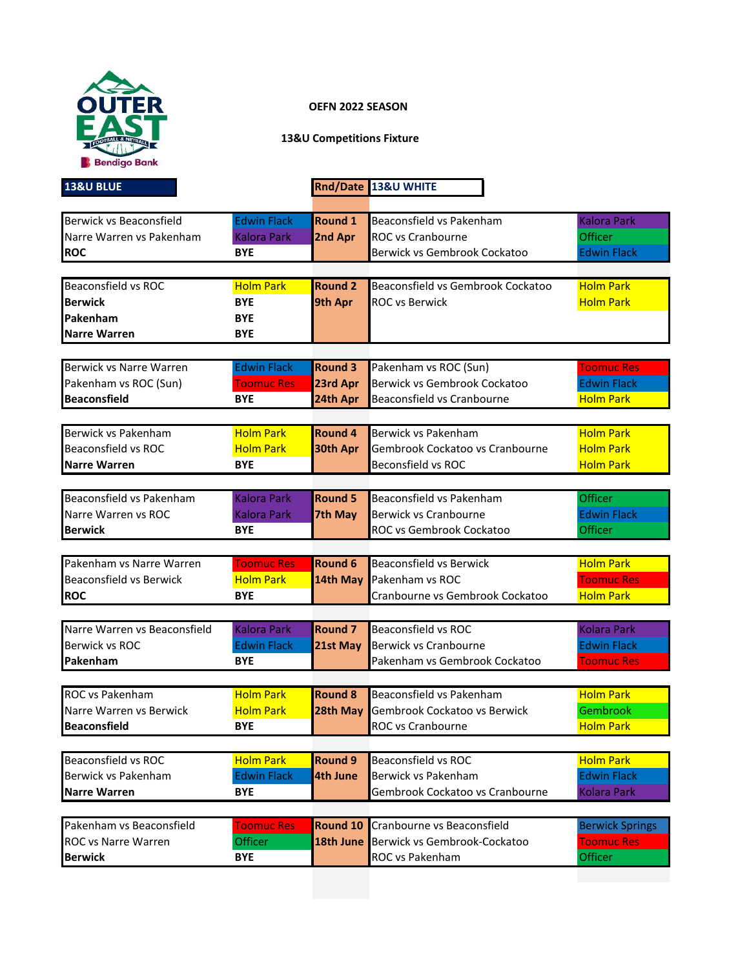

## **OEFN 2022 SEASON**

## **13&U Competitions Fixture**

| <b>13&amp;U BLUE</b>           |                    |                 | Rnd/Date 13&U WHITE               |                        |
|--------------------------------|--------------------|-----------------|-----------------------------------|------------------------|
|                                |                    |                 |                                   |                        |
| Berwick vs Beaconsfield        | <b>Edwin Flack</b> | <b>Round 1</b>  | Beaconsfield vs Pakenham          | <b>Kalora Park</b>     |
| Narre Warren vs Pakenham       | <b>Kalora Park</b> | 2nd Apr         | <b>ROC</b> vs Cranbourne          | Officer                |
| <b>ROC</b>                     | <b>BYE</b>         |                 | Berwick vs Gembrook Cockatoo      | <b>Edwin Flack</b>     |
|                                |                    | <b>Round 2</b>  |                                   |                        |
| <b>Beaconsfield vs ROC</b>     | <b>Holm Park</b>   |                 | Beaconsfield vs Gembrook Cockatoo | <b>Holm Park</b>       |
| <b>Berwick</b>                 | <b>BYE</b>         | 9th Apr         | <b>ROC vs Berwick</b>             | <b>Holm Park</b>       |
| Pakenham                       | <b>BYE</b>         |                 |                                   |                        |
| <b>Narre Warren</b>            | <b>BYE</b>         |                 |                                   |                        |
| Berwick vs Narre Warren        | <b>Edwin Flack</b> | <b>Round 3</b>  | Pakenham vs ROC (Sun)             | <b>Toomuc Res</b>      |
| Pakenham vs ROC (Sun)          | <b>Toomuc Res</b>  | 23rd Apr        | Berwick vs Gembrook Cockatoo      | <b>Edwin Flack</b>     |
| <b>Beaconsfield</b>            | <b>BYE</b>         | 24th Apr        | Beaconsfield vs Cranbourne        | <b>Holm Park</b>       |
|                                |                    |                 |                                   |                        |
| Berwick vs Pakenham            | <b>Holm Park</b>   | <b>Round 4</b>  | Berwick vs Pakenham               | <b>Holm Park</b>       |
| <b>Beaconsfield vs ROC</b>     | <b>Holm Park</b>   | 30th Apr        | Gembrook Cockatoo vs Cranbourne   | <b>Holm Park</b>       |
| <b>Narre Warren</b>            | <b>BYE</b>         |                 | Beconsfield vs ROC                | <b>Holm Park</b>       |
|                                |                    |                 |                                   |                        |
| Beaconsfield vs Pakenham       | <b>Kalora Park</b> | <b>Round 5</b>  | Beaconsfield vs Pakenham          | Officer                |
| Narre Warren vs ROC            | <b>Kalora Park</b> | 7th May         | Berwick vs Cranbourne             | <b>Edwin Flack</b>     |
| <b>Berwick</b>                 | <b>BYE</b>         |                 | ROC vs Gembrook Cockatoo          | <b>Officer</b>         |
|                                |                    |                 |                                   |                        |
| Pakenham vs Narre Warren       | <b>Toomuc Res</b>  | Round 6         | <b>Beaconsfield vs Berwick</b>    | <b>Holm Park</b>       |
| <b>Beaconsfield vs Berwick</b> | <b>Holm Park</b>   | 14th May        | Pakenham vs ROC                   | <b>Toomuc Res</b>      |
| <b>ROC</b>                     | <b>BYE</b>         |                 | Cranbourne vs Gembrook Cockatoo   | <b>Holm Park</b>       |
|                                |                    |                 |                                   |                        |
| Narre Warren vs Beaconsfield   | <b>Kalora Park</b> | <b>Round 7</b>  | <b>Beaconsfield vs ROC</b>        | <b>Kolara Park</b>     |
| Berwick vs ROC                 | <b>Edwin Flack</b> | 21st May        | Berwick vs Cranbourne             | <b>Edwin Flack</b>     |
| Pakenham                       | <b>BYE</b>         |                 | Pakenham vs Gembrook Cockatoo     | <b>Toomuc Res</b>      |
| <b>ROC</b> vs Pakenham         | <b>Holm Park</b>   | <b>Round 8</b>  | Beaconsfield vs Pakenham          | <b>Holm Park</b>       |
|                                |                    |                 |                                   |                        |
| Narre Warren vs Berwick        | <b>Holm Park</b>   | 28th May        | Gembrook Cockatoo vs Berwick      | Gembrook               |
| <b>Beaconsfield</b>            | BYE                |                 | ROC vs Cranbourne                 | <b>Holm Park</b>       |
| <b>Beaconsfield vs ROC</b>     | <b>Holm Park</b>   | Round 9         | Beaconsfield vs ROC               | <b>Holm Park</b>       |
| Berwick vs Pakenham            | <b>Edwin Flack</b> | <b>4th June</b> | Berwick vs Pakenham               | <b>Edwin Flack</b>     |
| <b>Narre Warren</b>            | <b>BYE</b>         |                 | Gembrook Cockatoo vs Cranbourne   | <b>Kolara Park</b>     |
|                                |                    |                 |                                   |                        |
| Pakenham vs Beaconsfield       | <b>Toomuc Res</b>  | Round 10        | Cranbourne vs Beaconsfield        | <b>Berwick Springs</b> |
| <b>ROC vs Narre Warren</b>     | Officer            | 18th June       | Berwick vs Gembrook-Cockatoo      | <b>Toomuc Res</b>      |
| <b>Berwick</b>                 | <b>BYE</b>         |                 | ROC vs Pakenham                   | Officer                |
|                                |                    |                 |                                   |                        |